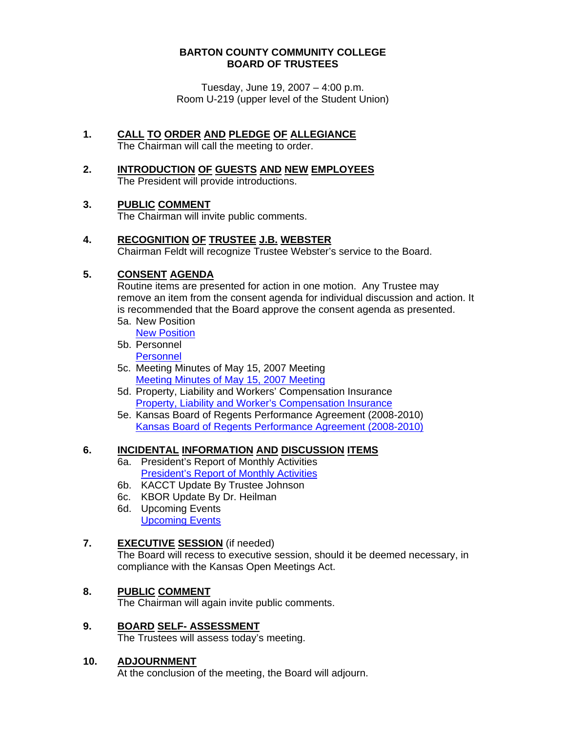#### **BARTON COUNTY COMMUNITY COLLEGE BOARD OF TRUSTEES**

Tuesday, June 19, 2007 – 4:00 p.m. Room U-219 (upper level of the Student Union)

- **1. CALL TO ORDER AND PLEDGE OF ALLEGIANCE** The Chairman will call the meeting to order.
- **2. INTRODUCTION OF GUESTS AND NEW EMPLOYEES** The President will provide introductions.

#### **3. PUBLIC COMMENT**

The Chairman will invite public comments.

**4. RECOGNITION OF TRUSTEE J.B. WEBSTER** 

Chairman Feldt will recognize Trustee Webster's service to the Board.

# **5. CONSENT AGENDA**

Routine items are presented for action in one motion. Any Trustee may remove an item from the consent agenda for individual discussion and action. It is recommended that the Board approve the consent agenda as presented.

- 5a. New Position
- [New Position](http://www.bartonccc.edu/boardoftrustees/boardbooks/06_07/061907/new_position.pdf) 5b. Personnel

**Personnel** 

- 5c. Meeting Minutes of May 15, 2007 Meeting [Meeting Minutes of May 15, 2007 Meeting](http://www.bartonccc.edu/boardoftrustees/boardbooks/06_07/061907/botminutes051507.pdf)
- 5d. Property, Liability and Workers' Compensation Insurance [Property, Liability and Worker's Compensation Insurance](http://www.bartonccc.edu/boardoftrustees/boardbooks/06_07/061907/prop_liab_workcomp_insurance.pdf)
- 5e. Kansas Board of Regents Performance Agreement (2008-2010)[Kansas Board of Regents Performance Agreement \(2008-2010\)](http://www.bartonccc.edu/boardoftrustees/boardbooks/06_07/061907/kbor_performance_agreement.pdf)

## **6. INCIDENTAL INFORMATION AND DISCUSSION ITEMS**

- 6a. President's Report of Monthly Activities [President's Report of Monthly Activities](http://www.bartonccc.edu/boardoftrustees/boardbooks/06_07/061907/presidents_report_monthly_activities.pdf)
- 6b. KACCT Update By Trustee Johnson
- 6c. KBOR Update By Dr. Heilman
- 6d. Upcoming Events [Upcoming Events](http://www.bartonccc.edu/boardoftrustees/boardbooks/06_07/061907/upcoming_activities.pdf)

## **7. EXECUTIVE SESSION** (if needed)

The Board will recess to executive session, should it be deemed necessary, in compliance with the Kansas Open Meetings Act.

## **8. PUBLIC COMMENT**

The Chairman will again invite public comments.

**9. BOARD SELF- ASSESSMENT** The Trustees will assess today's meeting.

#### **10. ADJOURNMENT**

At the conclusion of the meeting, the Board will adjourn.